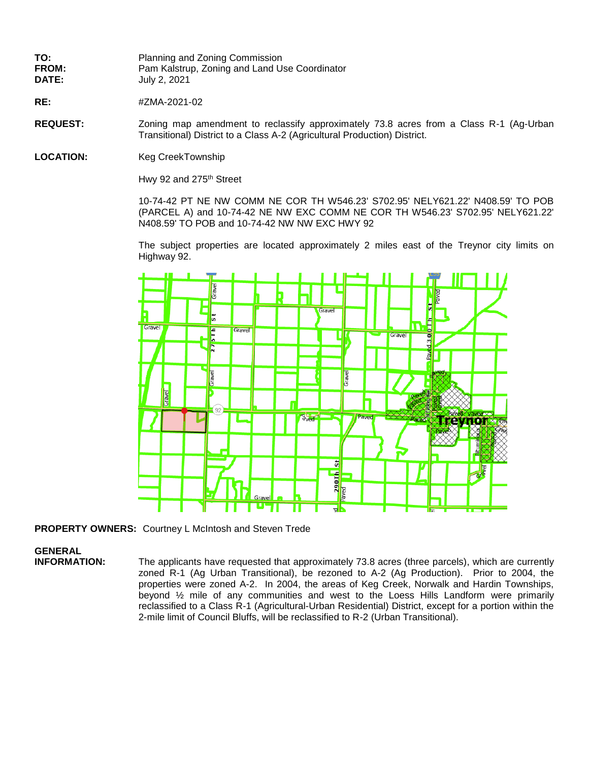| TO:          | Planning and Zoning Commission                |
|--------------|-----------------------------------------------|
| FROM:        | Pam Kalstrup, Zoning and Land Use Coordinator |
| <b>DATE:</b> | July 2, 2021                                  |

**RE:**  $\#ZMA-2021-02$ 

**REQUEST:** Zoning map amendment to reclassify approximately 73.8 acres from a Class R-1 (Ag-Urban Transitional) District to a Class A-2 (Agricultural Production) District.

LOCATION: Keg CreekTownship

Hwy 92 and 275<sup>th</sup> Street

10-74-42 PT NE NW COMM NE COR TH W546.23' S702.95' NELY621.22' N408.59' TO POB (PARCEL A) and 10-74-42 NE NW EXC COMM NE COR TH W546.23' S702.95' NELY621.22' N408.59' TO POB and 10-74-42 NW NW EXC HWY 92

The subject properties are located approximately 2 miles east of the Treynor city limits on Highway 92.



**PROPERTY OWNERS:** Courtney L McIntosh and Steven Trede

## **GENERAL**<br>**INFORMATION:**

The applicants have requested that approximately 73.8 acres (three parcels), which are currently zoned R-1 (Ag Urban Transitional), be rezoned to A-2 (Ag Production). Prior to 2004, the properties were zoned A-2. In 2004, the areas of Keg Creek, Norwalk and Hardin Townships, beyond ½ mile of any communities and west to the Loess Hills Landform were primarily reclassified to a Class R-1 (Agricultural-Urban Residential) District, except for a portion within the 2-mile limit of Council Bluffs, will be reclassified to R-2 (Urban Transitional).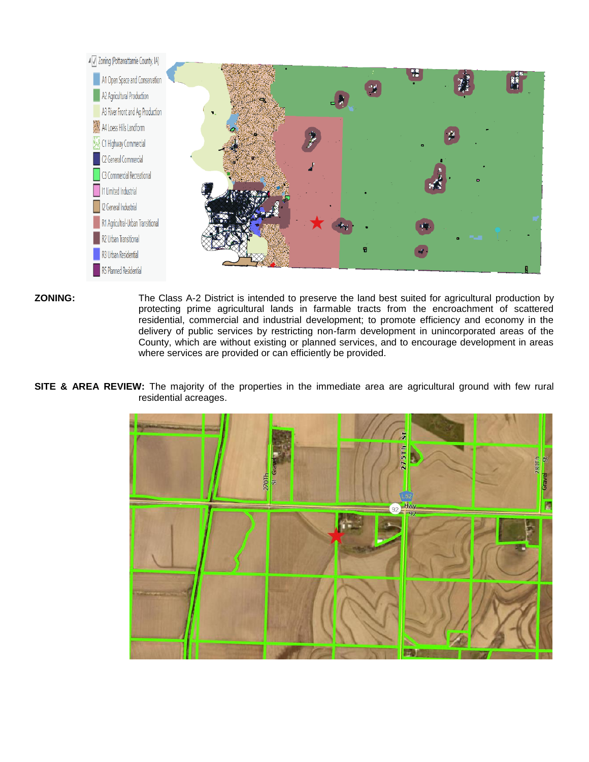

**ZONING:** The Class A-2 District is intended to preserve the land best suited for agricultural production by protecting prime agricultural lands in farmable tracts from the encroachment of scattered residential, commercial and industrial development; to promote efficiency and economy in the delivery of public services by restricting non-farm development in unincorporated areas of the County, which are without existing or planned services, and to encourage development in areas where services are provided or can efficiently be provided.

**SITE & AREA REVIEW:** The majority of the properties in the immediate area are agricultural ground with few rural residential acreages.

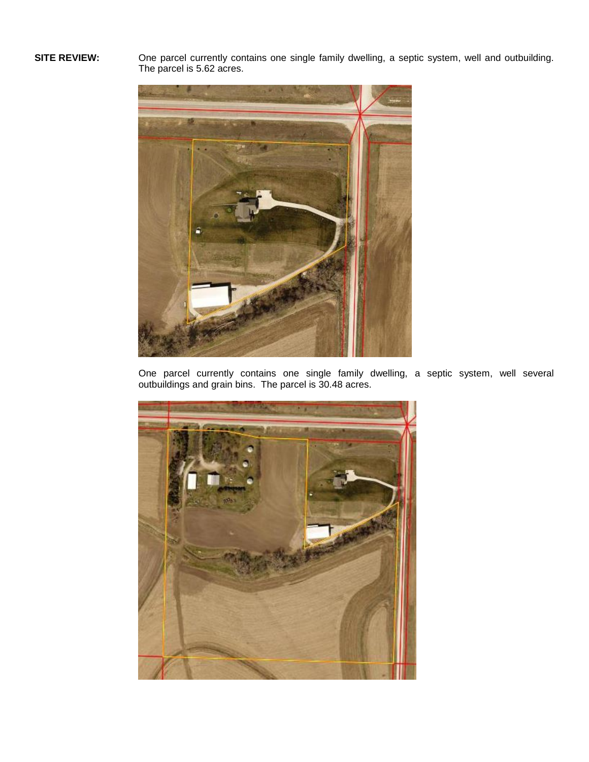**SITE REVIEW:** One parcel currently contains one single family dwelling, a septic system, well and outbuilding. The parcel is 5.62 acres.



One parcel currently contains one single family dwelling, a septic system, well several outbuildings and grain bins. The parcel is 30.48 acres.